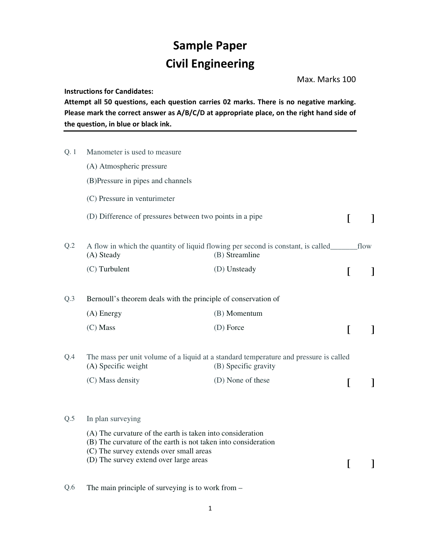## **Sample Paper Civil Engineering**

Max. Marks 100

**Instructions for Candidates:** 

**Attempt all 50 questions, each question carries 02 marks. There is no negative marking. Please mark the correct answer as A/B/C/D at appropriate place, on the right hand side of the question, in blue or black ink.** 

| Q. 1 | Manometer is used to measure                                                                                                                                            |                                                                                                               |          |              |  |
|------|-------------------------------------------------------------------------------------------------------------------------------------------------------------------------|---------------------------------------------------------------------------------------------------------------|----------|--------------|--|
|      | (A) Atmospheric pressure                                                                                                                                                |                                                                                                               |          |              |  |
|      | (B)Pressure in pipes and channels                                                                                                                                       |                                                                                                               |          |              |  |
|      | (C) Pressure in venturimeter                                                                                                                                            |                                                                                                               |          |              |  |
|      | (D) Difference of pressures between two points in a pipe                                                                                                                |                                                                                                               | I        |              |  |
| Q.2  | (B) Streamline<br>(A) Steady                                                                                                                                            |                                                                                                               |          |              |  |
|      | (C) Turbulent                                                                                                                                                           | (D) Unsteady                                                                                                  | $\Gamma$ | $\mathbf{I}$ |  |
| Q.3  | Bernoull's theorem deals with the principle of conservation of                                                                                                          |                                                                                                               |          |              |  |
|      | $(A)$ Energy                                                                                                                                                            | (B) Momentum                                                                                                  |          |              |  |
|      | (C) Mass                                                                                                                                                                | (D) Force                                                                                                     | L        |              |  |
| Q.4  | (A) Specific weight                                                                                                                                                     | The mass per unit volume of a liquid at a standard temperature and pressure is called<br>(B) Specific gravity |          |              |  |
|      | (C) Mass density                                                                                                                                                        | (D) None of these                                                                                             | L        |              |  |
| Q.5  | In plan surveying                                                                                                                                                       |                                                                                                               |          |              |  |
|      | (A) The curvature of the earth is taken into consideration<br>(B) The curvature of the earth is not taken into consideration<br>(C) The survey extends over small areas |                                                                                                               |          |              |  |
|      | (D) The survey extend over large areas                                                                                                                                  |                                                                                                               | L        |              |  |
| Q.6  | The main principle of surveying is to work from $-$                                                                                                                     |                                                                                                               |          |              |  |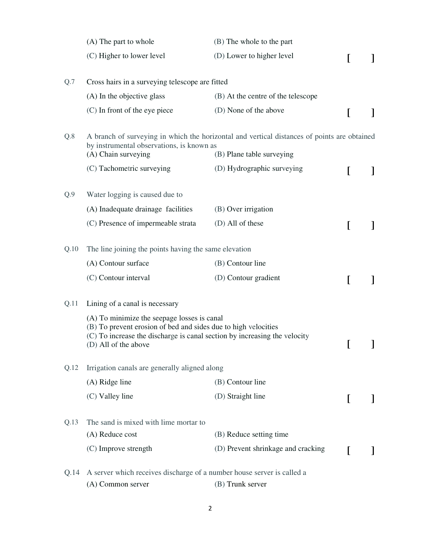|      | (A) The part to whole                                                                                                                                                                                              | (B) The whole to the part          |  |              |  |
|------|--------------------------------------------------------------------------------------------------------------------------------------------------------------------------------------------------------------------|------------------------------------|--|--------------|--|
|      | (C) Higher to lower level                                                                                                                                                                                          | (D) Lower to higher level          |  |              |  |
| Q.7  | Cross hairs in a surveying telescope are fitted                                                                                                                                                                    |                                    |  |              |  |
|      | (A) In the objective glass                                                                                                                                                                                         | (B) At the centre of the telescope |  |              |  |
|      | (C) In front of the eye piece                                                                                                                                                                                      | (D) None of the above              |  |              |  |
| Q.8  | A branch of surveying in which the horizontal and vertical distances of points are obtained<br>by instrumental observations, is known as                                                                           |                                    |  |              |  |
|      | (A) Chain surveying                                                                                                                                                                                                | (B) Plane table surveying          |  |              |  |
|      | (C) Tachometric surveying                                                                                                                                                                                          | (D) Hydrographic surveying         |  |              |  |
| Q.9  | Water logging is caused due to                                                                                                                                                                                     |                                    |  |              |  |
|      | (A) Inadequate drainage facilities                                                                                                                                                                                 | (B) Over irrigation                |  |              |  |
|      | (C) Presence of impermeable strata                                                                                                                                                                                 | (D) All of these                   |  |              |  |
| Q.10 | The line joining the points having the same elevation                                                                                                                                                              |                                    |  |              |  |
|      | (A) Contour surface                                                                                                                                                                                                | (B) Contour line                   |  |              |  |
|      | (C) Contour interval                                                                                                                                                                                               | (D) Contour gradient               |  |              |  |
| Q.11 | Lining of a canal is necessary                                                                                                                                                                                     |                                    |  |              |  |
|      | (A) To minimize the seepage losses is canal<br>(B) To prevent erosion of bed and sides due to high velocities<br>(C) To increase the discharge is canal section by increasing the velocity<br>(D) All of the above |                                    |  | $\mathbf{I}$ |  |
| Q.12 | Irrigation canals are generally aligned along                                                                                                                                                                      |                                    |  |              |  |
|      | (A) Ridge line                                                                                                                                                                                                     | (B) Contour line                   |  |              |  |
|      | (C) Valley line                                                                                                                                                                                                    | (D) Straight line                  |  |              |  |
| Q.13 | The sand is mixed with lime mortar to                                                                                                                                                                              |                                    |  |              |  |
|      | (A) Reduce cost                                                                                                                                                                                                    | (B) Reduce setting time            |  |              |  |
|      | (C) Improve strength                                                                                                                                                                                               | (D) Prevent shrinkage and cracking |  |              |  |
| Q.14 | A server which receives discharge of a number house server is called a                                                                                                                                             |                                    |  |              |  |
|      | (A) Common server                                                                                                                                                                                                  | (B) Trunk server                   |  |              |  |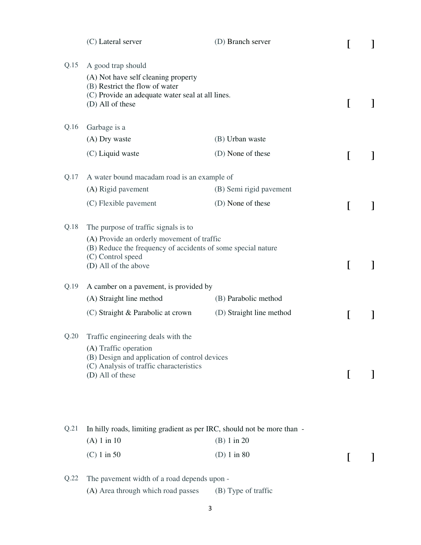|      | (C) Lateral server                                                                                                                                                  | (D) Branch server        |   |   |
|------|---------------------------------------------------------------------------------------------------------------------------------------------------------------------|--------------------------|---|---|
| Q.15 | A good trap should<br>(A) Not have self cleaning property<br>(B) Restrict the flow of water<br>(C) Provide an adequate water seal at all lines.<br>(D) All of these |                          | L |   |
| Q.16 | Garbage is a                                                                                                                                                        |                          |   |   |
|      | (A) Dry waste                                                                                                                                                       | (B) Urban waste          |   |   |
|      | (C) Liquid waste                                                                                                                                                    | (D) None of these        | I |   |
| Q.17 | A water bound macadam road is an example of                                                                                                                         |                          |   |   |
|      | (A) Rigid pavement                                                                                                                                                  | (B) Semi rigid pavement  |   |   |
|      | (C) Flexible pavement                                                                                                                                               | (D) None of these        |   |   |
| Q.18 | The purpose of traffic signals is to                                                                                                                                |                          |   |   |
|      | (A) Provide an orderly movement of traffic<br>(B) Reduce the frequency of accidents of some special nature<br>(C) Control speed<br>(D) All of the above             |                          | I |   |
| Q.19 | A camber on a pavement, is provided by                                                                                                                              |                          |   |   |
|      | (A) Straight line method                                                                                                                                            | (B) Parabolic method     |   |   |
|      | (C) Straight & Parabolic at crown                                                                                                                                   | (D) Straight line method |   | I |
| Q.20 | Traffic engineering deals with the                                                                                                                                  |                          |   |   |
|      | (A) Traffic operation<br>(B) Design and application of control devices<br>(C) Analysis of traffic characteristics<br>(D) All of these                               |                          |   |   |
| Q.21 | In hilly roads, limiting gradient as per IRC, should not be more than -                                                                                             |                          |   |   |
|      | $(A) 1$ in 10                                                                                                                                                       | (B) 1 in 20              |   |   |
|      | $(C) 1$ in 50                                                                                                                                                       | $(D)$ 1 in 80            |   |   |
| Q.22 | The pavement width of a road depends upon -                                                                                                                         |                          |   |   |
|      | (A) Area through which road passes                                                                                                                                  | (B) Type of traffic      |   |   |

3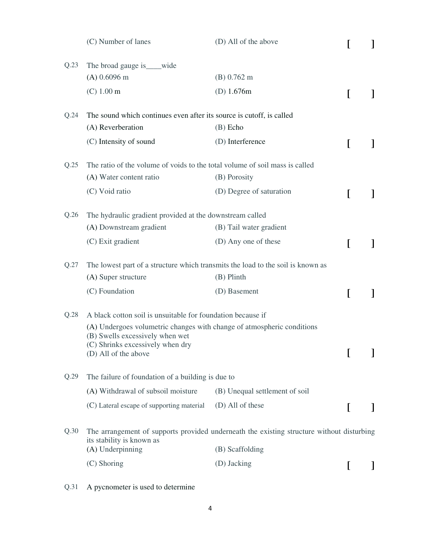|      | (C) Number of lanes                                                                                       | (D) All of the above           |   |  |  |
|------|-----------------------------------------------------------------------------------------------------------|--------------------------------|---|--|--|
| Q.23 | The broad gauge is ____wide                                                                               |                                |   |  |  |
|      | $(A)$ 0.6096 m                                                                                            | (B) 0.762 m                    |   |  |  |
|      | (C) 1.00 m                                                                                                | (D) $1.676m$                   | I |  |  |
| Q.24 | The sound which continues even after its source is cutoff, is called                                      |                                |   |  |  |
|      | (A) Reverberation                                                                                         | $(B)$ Echo                     |   |  |  |
|      | (C) Intensity of sound                                                                                    | (D) Interference               | L |  |  |
| Q.25 | The ratio of the volume of voids to the total volume of soil mass is called                               |                                |   |  |  |
|      | (A) Water content ratio                                                                                   | (B) Porosity                   |   |  |  |
|      | (C) Void ratio                                                                                            | (D) Degree of saturation       | L |  |  |
| Q.26 | The hydraulic gradient provided at the downstream called                                                  |                                |   |  |  |
|      | (A) Downstream gradient                                                                                   | (B) Tail water gradient        |   |  |  |
|      | (C) Exit gradient                                                                                         | (D) Any one of these           | L |  |  |
| Q.27 | The lowest part of a structure which transmits the load to the soil is known as                           |                                |   |  |  |
|      | (A) Super structure                                                                                       | $(B)$ Plinth                   |   |  |  |
|      | (C) Foundation                                                                                            | (D) Basement                   | L |  |  |
| Q.28 | A black cotton soil is unsuitable for foundation because if                                               |                                |   |  |  |
|      | (A) Undergoes volumetric changes with change of atmospheric conditions<br>(B) Swells excessively when wet |                                |   |  |  |
|      | (C) Shrinks excessively when dry<br>(D) All of the above                                                  |                                |   |  |  |
| Q.29 | The failure of foundation of a building is due to                                                         |                                |   |  |  |
|      | (A) Withdrawal of subsoil moisture                                                                        | (B) Unequal settlement of soil |   |  |  |
|      | (C) Lateral escape of supporting material                                                                 | (D) All of these               |   |  |  |
| Q.30 | The arrangement of supports provided underneath the existing structure without disturbing                 |                                |   |  |  |
|      | its stability is known as<br>(A) Underpinning                                                             | (B) Scaffolding                |   |  |  |
|      | (C) Shoring                                                                                               | (D) Jacking                    |   |  |  |

Q.31 A pycnometer is used to determine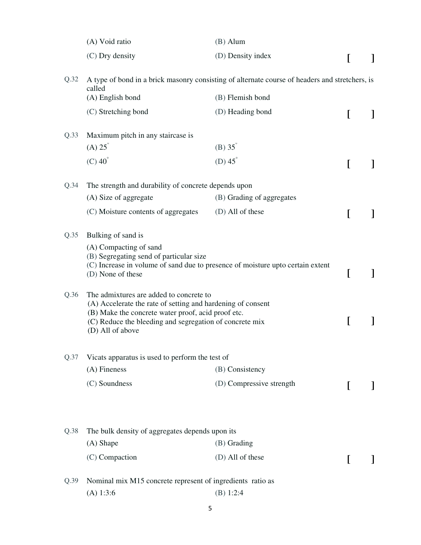|      | (A) Void ratio                                                                                                                                                                                                                              | $(B)$ Alum                |   |  |
|------|---------------------------------------------------------------------------------------------------------------------------------------------------------------------------------------------------------------------------------------------|---------------------------|---|--|
|      | (C) Dry density                                                                                                                                                                                                                             | (D) Density index         |   |  |
| Q.32 | A type of bond in a brick masonry consisting of alternate course of headers and stretchers, is<br>called                                                                                                                                    |                           |   |  |
|      | (A) English bond                                                                                                                                                                                                                            | (B) Flemish bond          |   |  |
|      | (C) Stretching bond                                                                                                                                                                                                                         | (D) Heading bond          |   |  |
| Q.33 | Maximum pitch in any staircase is                                                                                                                                                                                                           |                           |   |  |
|      | $(A) 25^\circ$                                                                                                                                                                                                                              | $(B) 35^\circ$            |   |  |
|      | $(C)$ 40 $\degree$                                                                                                                                                                                                                          | (D) $45^\circ$            |   |  |
| Q.34 | The strength and durability of concrete depends upon                                                                                                                                                                                        |                           |   |  |
|      | (A) Size of aggregate                                                                                                                                                                                                                       | (B) Grading of aggregates |   |  |
|      | (C) Moisture contents of aggregates                                                                                                                                                                                                         | (D) All of these          |   |  |
| Q.35 | Bulking of sand is<br>(A) Compacting of sand<br>(B) Segregating send of particular size                                                                                                                                                     |                           |   |  |
|      | (C) Increase in volume of sand due to presence of moisture upto certain extent<br>(D) None of these                                                                                                                                         |                           | L |  |
| Q.36 | The admixtures are added to concrete to<br>(A) Accelerate the rate of setting and hardening of consent<br>(B) Make the concrete water proof, acid proof etc.<br>(C) Reduce the bleeding and segregation of concrete mix<br>(D) All of above |                           | L |  |
| Q.37 | Vicats apparatus is used to perform the test of                                                                                                                                                                                             |                           |   |  |
|      | $(A)$ Fineness                                                                                                                                                                                                                              | (B) Consistency           |   |  |
|      | (C) Soundness                                                                                                                                                                                                                               | (D) Compressive strength  |   |  |
| Q.38 | The bulk density of aggregates depends upon its                                                                                                                                                                                             |                           |   |  |
|      | (A) Shape                                                                                                                                                                                                                                   | (B) Grading               |   |  |
|      | (C) Compaction                                                                                                                                                                                                                              | (D) All of these          |   |  |
| Q.39 | Nominal mix M15 concrete represent of ingredients ratio as                                                                                                                                                                                  |                           |   |  |
|      | (A) 1:3:6                                                                                                                                                                                                                                   | (B) 1:2:4                 |   |  |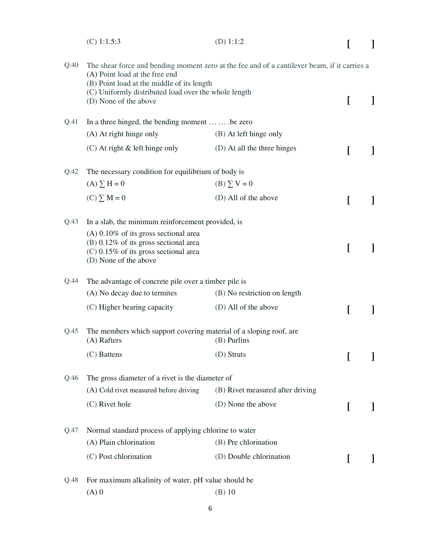|      | $(C)$ 1:1.5:3                                                                                                                                          | (D) $1:1:2$                                                                                  |   |  |  |  |
|------|--------------------------------------------------------------------------------------------------------------------------------------------------------|----------------------------------------------------------------------------------------------|---|--|--|--|
| Q.40 | (A) Point load at the free end<br>(B) Point load at the middle of its length                                                                           | The shear force and bending moment zero at the fee and of a cantilever beam, if it carries a |   |  |  |  |
|      | (C) Uniformly distributed load over the whole length<br>(D) None of the above                                                                          |                                                                                              | L |  |  |  |
| Q.41 | In a three hinged, the bending moment   be zero                                                                                                        |                                                                                              |   |  |  |  |
|      | (A) At right hinge only                                                                                                                                | (B) At left hinge only                                                                       |   |  |  |  |
|      | $(C)$ At right $\&$ left hinge only                                                                                                                    | (D) At all the three hinges                                                                  | L |  |  |  |
| Q.42 | The necessary condition for equilibrium of body is                                                                                                     |                                                                                              |   |  |  |  |
|      | $(A) \sum H = 0$                                                                                                                                       | $(B) \sum V = 0$                                                                             |   |  |  |  |
|      | $(C) \sum M = 0$                                                                                                                                       | (D) All of the above                                                                         | I |  |  |  |
| Q.43 | In a slab, the minimum reinforcement provided, is                                                                                                      |                                                                                              |   |  |  |  |
|      | $(A)$ 0.10% of its gross sectional area<br>$(B)$ 0.12% of its gross sectional area<br>$(C)$ 0.15% of its gross sectional area<br>(D) None of the above |                                                                                              | I |  |  |  |
| Q.44 |                                                                                                                                                        | The advantage of concrete pile over a timber pile is                                         |   |  |  |  |
|      | (A) No decay due to termites                                                                                                                           | (B) No restriction on length                                                                 |   |  |  |  |
|      | (C) Higher bearing capacity                                                                                                                            | (D) All of the above                                                                         | L |  |  |  |
| Q.45 | The members which support covering material of a sloping roof, are<br>(A) Rafters                                                                      | (B) Purlins                                                                                  |   |  |  |  |
|      | (C) Battens                                                                                                                                            | (D) Struts                                                                                   | I |  |  |  |
| Q.46 | The gross diameter of a rivet is the diameter of                                                                                                       |                                                                                              |   |  |  |  |
|      | (A) Cold rivet measured before driving                                                                                                                 | (B) Rivet measured after driving                                                             |   |  |  |  |
|      | (C) Rivet hole                                                                                                                                         | (D) None the above                                                                           | I |  |  |  |
| Q.47 | Normal standard process of applying chlorine to water                                                                                                  |                                                                                              |   |  |  |  |
|      | (A) Plain chlorination                                                                                                                                 | (B) Pre chlorination                                                                         |   |  |  |  |
|      | (C) Post chlorination                                                                                                                                  | (D) Double chlorination                                                                      | L |  |  |  |
| Q.48 | For maximum alkalinity of water, pH value should be                                                                                                    |                                                                                              |   |  |  |  |
|      | $(A)$ 0                                                                                                                                                | $(B)$ 10                                                                                     |   |  |  |  |